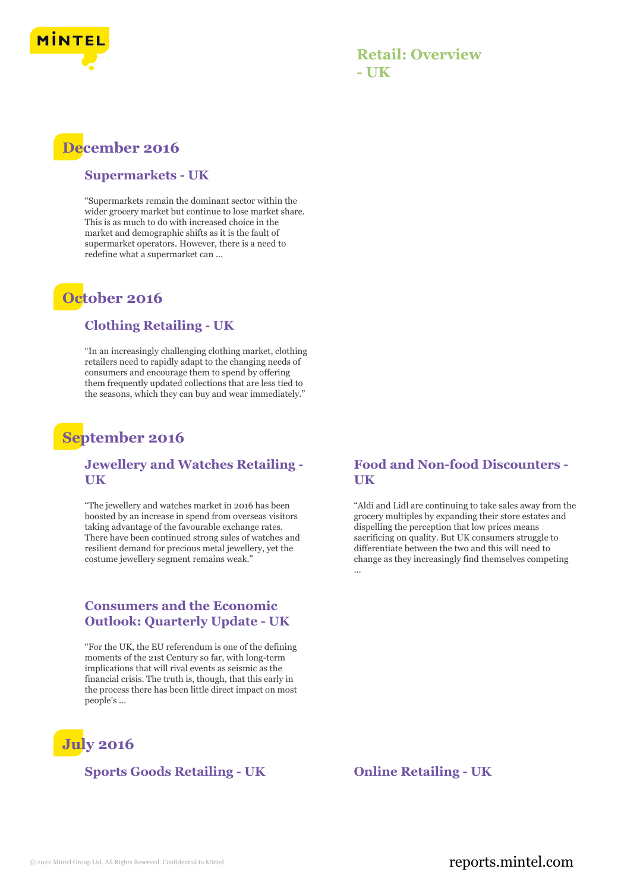

## **Retail: Overview - UK**

# **December 2016**

#### **Supermarkets - UK**

"Supermarkets remain the dominant sector within the wider grocery market but continue to lose market share. This is as much to do with increased choice in the market and demographic shifts as it is the fault of supermarket operators. However, there is a need to redefine what a supermarket can ...

## **October 2016**

#### **Clothing Retailing - UK**

"In an increasingly challenging clothing market, clothing retailers need to rapidly adapt to the changing needs of consumers and encourage them to spend by offering them frequently updated collections that are less tied to the seasons, which they can buy and wear immediately."

## **September 2016**

#### **Jewellery and Watches Retailing - UK**

"The jewellery and watches market in 2016 has been boosted by an increase in spend from overseas visitors taking advantage of the favourable exchange rates. There have been continued strong sales of watches and resilient demand for precious metal jewellery, yet the costume jewellery segment remains weak."

### **Consumers and the Economic Outlook: Quarterly Update - UK**

"For the UK, the EU referendum is one of the defining moments of the 21st Century so far, with long-term implications that will rival events as seismic as the financial crisis. The truth is, though, that this early in the process there has been little direct impact on most people's ...

# **July 2016**

#### **Sports Goods Retailing - UK Online Retailing - UK**

**Food and Non-food Discounters - UK**

"Aldi and Lidl are continuing to take sales away from the grocery multiples by expanding their store estates and dispelling the perception that low prices means sacrificing on quality. But UK consumers struggle to differentiate between the two and this will need to change as they increasingly find themselves competing ...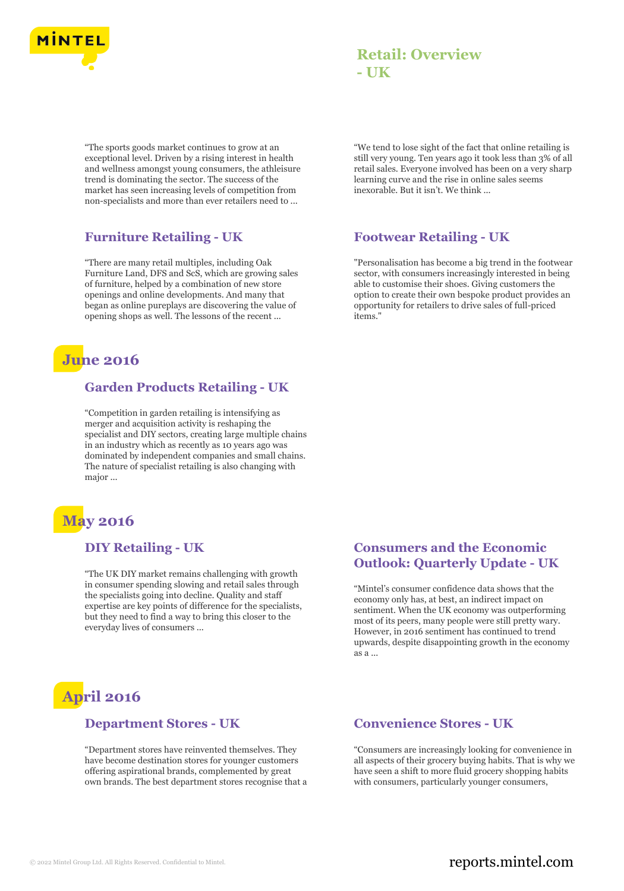

## **Retail: Overview - UK**

"The sports goods market continues to grow at an exceptional level. Driven by a rising interest in health and wellness amongst young consumers, the athleisure trend is dominating the sector. The success of the market has seen increasing levels of competition from non-specialists and more than ever retailers need to ...

## **Furniture Retailing - UK**

"There are many retail multiples, including Oak Furniture Land, DFS and ScS, which are growing sales of furniture, helped by a combination of new store openings and online developments. And many that began as online pureplays are discovering the value of opening shops as well. The lessons of the recent ...

# **June 2016**

#### **Garden Products Retailing - UK**

"Competition in garden retailing is intensifying as merger and acquisition activity is reshaping the specialist and DIY sectors, creating large multiple chains in an industry which as recently as 10 years ago was dominated by independent companies and small chains. The nature of specialist retailing is also changing with major ...

# **May 2016**

#### **DIY Retailing - UK**

"The UK DIY market remains challenging with growth in consumer spending slowing and retail sales through the specialists going into decline. Quality and staff expertise are key points of difference for the specialists, but they need to find a way to bring this closer to the everyday lives of consumers ...

# **April 2016**

#### **Department Stores - UK**

"Department stores have reinvented themselves. They have become destination stores for younger customers offering aspirational brands, complemented by great own brands. The best department stores recognise that a "We tend to lose sight of the fact that online retailing is still very young. Ten years ago it took less than 3% of all retail sales. Everyone involved has been on a very sharp learning curve and the rise in online sales seems inexorable. But it isn't. We think ...

#### **Footwear Retailing - UK**

"Personalisation has become a big trend in the footwear sector, with consumers increasingly interested in being able to customise their shoes. Giving customers the option to create their own bespoke product provides an opportunity for retailers to drive sales of full-priced items<sup>'</sup>

### **Consumers and the Economic Outlook: Quarterly Update - UK**

"Mintel's consumer confidence data shows that the economy only has, at best, an indirect impact on sentiment. When the UK economy was outperforming most of its peers, many people were still pretty wary. However, in 2016 sentiment has continued to trend upwards, despite disappointing growth in the economy as a ...

### **Convenience Stores - UK**

"Consumers are increasingly looking for convenience in all aspects of their grocery buying habits. That is why we have seen a shift to more fluid grocery shopping habits with consumers, particularly younger consumers,

## © 2022 Mintel Group Ltd. All Rights Reserved. Confidential to Mintel.  $\blacksquare$  reports.mintel.com